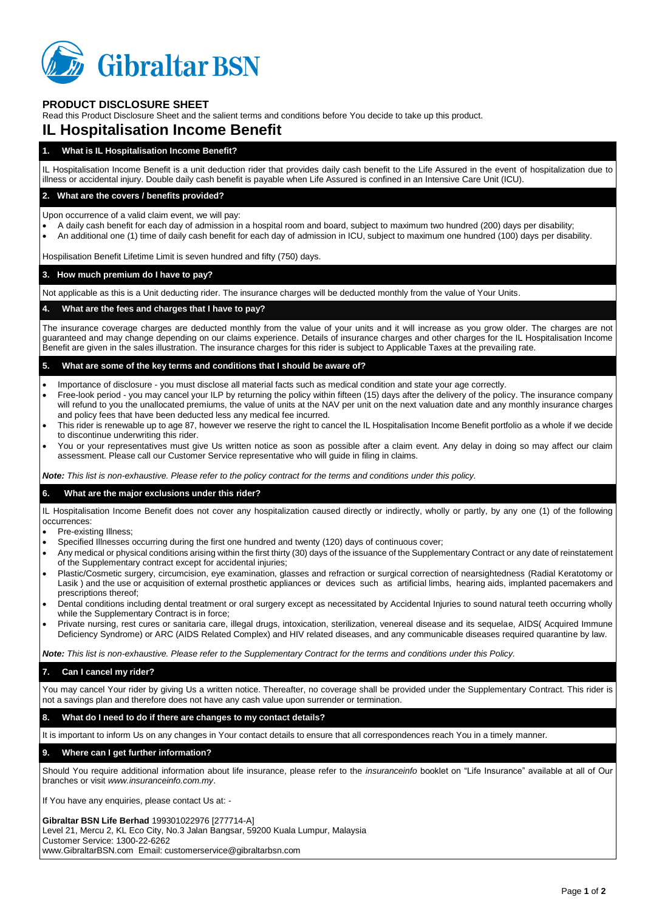

# **PRODUCT DISCLOSURE SHEET**

Read this Product Disclosure Sheet and the salient terms and conditions before You decide to take up this product.

# **IL Hospitalisation Income Benefit**

# **1. What is IL Hospitalisation Income Benefit?**

IL Hospitalisation Income Benefit is a unit deduction rider that provides daily cash benefit to the Life Assured in the event of hospitalization due to illness or accidental injury. Double daily cash benefit is payable when Life Assured is confined in an Intensive Care Unit (ICU).

## **2. What are the covers / benefits provided?**

Upon occurrence of a valid claim event, we will pay:

- A daily cash benefit for each day of admission in a hospital room and board, subject to maximum two hundred (200) days per disability;
- An additional one (1) time of daily cash benefit for each day of admission in ICU, subject to maximum one hundred (100) days per disability.

Hospilisation Benefit Lifetime Limit is seven hundred and fifty (750) days.

## **3. How much premium do I have to pay?**

Not applicable as this is a Unit deducting rider. The insurance charges will be deducted monthly from the value of Your Units.

## **4. What are the fees and charges that I have to pay?**

The insurance coverage charges are deducted monthly from the value of your units and it will increase as you grow older. The charges are not guaranteed and may change depending on our claims experience. Details of insurance charges and other charges for the IL Hospitalisation Income Benefit are given in the sales illustration. The insurance charges for this rider is subject to Applicable Taxes at the prevailing rate.

## **5. What are some of the key terms and conditions that I should be aware of?**

- Importance of disclosure you must disclose all material facts such as medical condition and state your age correctly.
- Free-look period you may cancel your ILP by returning the policy within fifteen (15) days after the delivery of the policy. The insurance company will refund to you the unallocated premiums, the value of units at the NAV per unit on the next valuation date and any monthly insurance charges and policy fees that have been deducted less any medical fee incurred.
- This rider is renewable up to age 87, however we reserve the right to cancel the IL Hospitalisation Income Benefit portfolio as a whole if we decide to discontinue underwriting this rider.
- You or your representatives must give Us written notice as soon as possible after a claim event. Any delay in doing so may affect our claim assessment. Please call our Customer Service representative who will guide in filing in claims.

*Note: This list is non-exhaustive. Please refer to the policy contract for the terms and conditions under this policy.*

#### **6. What are the major exclusions under this rider?**

IL Hospitalisation Income Benefit does not cover any hospitalization caused directly or indirectly, wholly or partly, by any one (1) of the following occurrences:

- Pre-existing Illness;
- Specified Illnesses occurring during the first one hundred and twenty (120) days of continuous cover;
- Any medical or physical conditions arising within the first thirty (30) days of the issuance of the Supplementary Contract or any date of reinstatement of the Supplementary contract except for accidental injuries;
- Plastic/Cosmetic surgery, circumcision, eye examination, glasses and refraction or surgical correction of nearsightedness (Radial Keratotomy or Lasik ) and the use or acquisition of external prosthetic appliances or devices such as artificial limbs, hearing aids, implanted pacemakers and prescriptions thereof;
- Dental conditions including dental treatment or oral surgery except as necessitated by Accidental Injuries to sound natural teeth occurring wholly while the Supplementary Contract is in force;
- Private nursing, rest cures or sanitaria care, illegal drugs, intoxication, sterilization, venereal disease and its sequelae, AIDS( Acquired Immune Deficiency Syndrome) or ARC (AIDS Related Complex) and HIV related diseases, and any communicable diseases required quarantine by law.

*Note: This list is non-exhaustive. Please refer to the Supplementary Contract for the terms and conditions under this Policy.*

# **7. Can I cancel my rider?**

You may cancel Your rider by giving Us a written notice. Thereafter, no coverage shall be provided under the Supplementary Contract. This rider is not a savings plan and therefore does not have any cash value upon surrender or termination.

## **8. What do I need to do if there are changes to my contact details?**

It is important to inform Us on any changes in Your contact details to ensure that all correspondences reach You in a timely manner.

# **9. Where can I get further information?**

Should You require additional information about life insurance, please refer to the *insuranceinfo* booklet on "Life Insurance" available at all of Our branches or visit *www.insuranceinfo.com.my*.

If You have any enquiries, please contact Us at: -

#### **Gibraltar BSN Life Berhad** 199301022976 [277714-A]

Level 21, Mercu 2, KL Eco City, No.3 Jalan Bangsar, 59200 Kuala Lumpur, Malaysia Customer Service: 1300-22-6262 www.GibraltarBSN.com Email: customerservice@gibraltarbsn.com